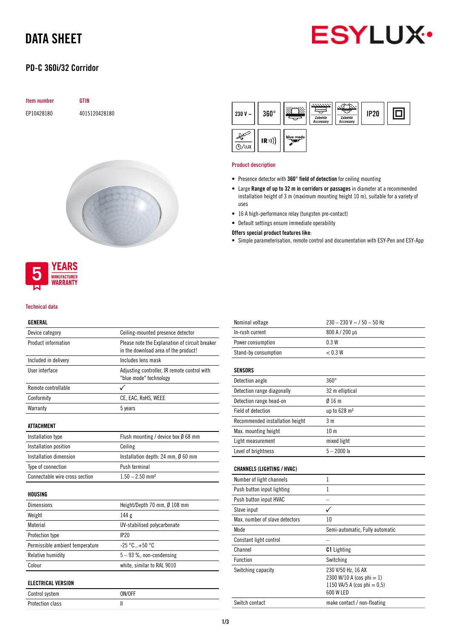# DATA SHEET

## PD-C 360i/32 Corridor

| <b>Item number</b> | <b>GTIN</b>   |
|--------------------|---------------|
| EP10428180         | 4015120428180 |





#### Technical data

### GENERAL

| Device category                 | Ceiling-mounted presence detector                                                      |  |  |
|---------------------------------|----------------------------------------------------------------------------------------|--|--|
| Product information             | Please note the Explanation of circuit breaker<br>in the download area of the product! |  |  |
| Included in delivery            | Includes lens mask                                                                     |  |  |
| User interface                  | Adjusting controller, IR remote control with<br>"blue mode" technology                 |  |  |
| Remote controllable             |                                                                                        |  |  |
| Conformity                      | CE, EAC, RoHS, WEEE                                                                    |  |  |
| Warranty                        | 5 years                                                                                |  |  |
| ATTACHMENT                      |                                                                                        |  |  |
| Installation type               | Flush mounting / device box Ø 68 mm                                                    |  |  |
| Installation position           | Ceiling                                                                                |  |  |
| Installation dimension          | Installation depth: 24 mm, $\emptyset$ 60 mm                                           |  |  |
| Type of connection              | Push terminal                                                                          |  |  |
| Connectable wire cross section  | $1.50 - 2.50$ mm <sup>2</sup>                                                          |  |  |
| HOUSING                         |                                                                                        |  |  |
| <b>Dimensions</b>               | Height/Depth 70 mm, Ø 108 mm                                                           |  |  |
| Weight                          | 144 <sub>g</sub>                                                                       |  |  |
| Material                        | UV-stabilised polycarbonate                                                            |  |  |
| Protection type                 | IP20                                                                                   |  |  |
| Permissible ambient temperature | $-25 °C+50 °C$                                                                         |  |  |
| Relative humidity               | $5 - 93$ %, non-condensing                                                             |  |  |
| Colour                          | white, similar to RAL 9010                                                             |  |  |
| <b>ELECTRICAL VERSION</b>       |                                                                                        |  |  |
| Control system                  | ON/OFF                                                                                 |  |  |

Protection class and II

| Nominal voltage                   | $230 - 230$ V ~ / $50 - 50$ Hz              |  |  |
|-----------------------------------|---------------------------------------------|--|--|
| In-rush current                   | 800 A / 200 µs                              |  |  |
| Power consumption                 | 0.3W                                        |  |  |
| Stand-by consumption              | < 0.3 W                                     |  |  |
|                                   |                                             |  |  |
| <b>SENSORS</b>                    |                                             |  |  |
| Detection angle                   | $360^\circ$                                 |  |  |
| Detection range diagonally        | 32 m elliptical                             |  |  |
| Detection range head-on           | 016m                                        |  |  |
| Field of detection                | up to 628 m <sup>2</sup>                    |  |  |
| Recommended installation height   | 3 <sub>m</sub>                              |  |  |
| Max. mounting height              | 10 <sub>m</sub>                             |  |  |
| Light measurement                 | mixed light                                 |  |  |
| Level of brightness               | $5 - 2000$ lx                               |  |  |
| <b>CHANNELS (LIGHTING / HVAC)</b> |                                             |  |  |
| Number of light channels          | $\mathbf{1}$                                |  |  |
| Push button input lighting        | 1                                           |  |  |
| Push button input HVAC            |                                             |  |  |
| Slave input                       | ✓                                           |  |  |
| Max. number of slave detectors    | 10                                          |  |  |
| Mode                              | Semi-automatic, Fully automatic             |  |  |
| Constant light control            |                                             |  |  |
| Channel                           |                                             |  |  |
|                                   | <b>C1</b> Lighting                          |  |  |
| <b>Function</b>                   | Switching                                   |  |  |
| Switching capacity                | 230 V/50 Hz, 16 AX                          |  |  |
|                                   | 2300 W/10 A (cos phi = 1)                   |  |  |
|                                   | 1150 VA/5 A (cos phi = $0.5$ )<br>600 W LED |  |  |
|                                   |                                             |  |  |
| Switch contact                    | make contact / non-floating                 |  |  |



**ESYLUX** 

### Product description

- Presence detector with 360° field of detection for ceiling mounting
- Large Range of up to 32 m in corridors or passages in diameter at a recommended installation height of 3 m (maximum mounting height 10 m), suitable for a variety of uses
- 16 A high-performance relay (tungsten pre-contact)
- Default settings ensure immediate operability

#### Offers special product features like:

• Simple parameterisation, remote control and documentation with ESY-Pen and ESY-App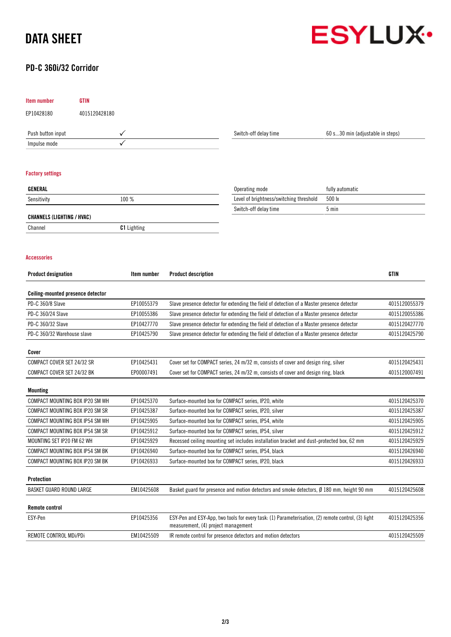# DATA SHEET

## PD-C 360i/32 Corridor



| <b>Item number</b>                | <b>GTIN</b>   |                    |                                                                                                                                           |                                                                                                      |                                  |               |
|-----------------------------------|---------------|--------------------|-------------------------------------------------------------------------------------------------------------------------------------------|------------------------------------------------------------------------------------------------------|----------------------------------|---------------|
| EP10428180                        | 4015120428180 |                    |                                                                                                                                           |                                                                                                      |                                  |               |
| Push button input                 |               |                    |                                                                                                                                           | Switch-off delay time                                                                                | 60 s30 min (adjustable in steps) |               |
| Impulse mode                      |               |                    |                                                                                                                                           |                                                                                                      |                                  |               |
|                                   |               |                    |                                                                                                                                           |                                                                                                      |                                  |               |
| <b>Factory settings</b>           |               |                    |                                                                                                                                           |                                                                                                      |                                  |               |
| GENERAL                           |               |                    |                                                                                                                                           | Operating mode                                                                                       | fully automatic                  |               |
| Sensitivity                       |               | 100 %              |                                                                                                                                           | Level of brightness/switching threshold                                                              | 500 lx                           |               |
|                                   |               |                    |                                                                                                                                           | Switch-off delay time                                                                                | 5 min                            |               |
| <b>CHANNELS (LIGHTING / HVAC)</b> |               |                    |                                                                                                                                           |                                                                                                      |                                  |               |
| Channel                           |               | <b>C1</b> Lighting |                                                                                                                                           |                                                                                                      |                                  |               |
| <b>Accessories</b>                |               |                    |                                                                                                                                           |                                                                                                      |                                  |               |
| <b>Product designation</b>        |               | Item number        | <b>Product description</b>                                                                                                                |                                                                                                      |                                  | <b>GTIN</b>   |
| Ceiling-mounted presence detector |               |                    |                                                                                                                                           |                                                                                                      |                                  |               |
| PD-C 360/8 Slave                  |               | EP10055379         | Slave presence detector for extending the field of detection of a Master presence detector                                                |                                                                                                      |                                  | 4015120055379 |
| PD-C 360/24 Slave                 |               | EP10055386         | Slave presence detector for extending the field of detection of a Master presence detector                                                |                                                                                                      |                                  | 4015120055386 |
| PD-C 360/32 Slave                 |               | EP10427770         | Slave presence detector for extending the field of detection of a Master presence detector                                                |                                                                                                      |                                  | 4015120427770 |
| PD-C 360/32 Warehouse slave       |               | EP10425790         | Slave presence detector for extending the field of detection of a Master presence detector                                                |                                                                                                      |                                  | 4015120425790 |
| Cover                             |               |                    |                                                                                                                                           |                                                                                                      |                                  |               |
| COMPACT COVER SET 24/32 SR        |               | EP10425431         | Cover set for COMPACT series, 24 m/32 m, consists of cover and design ring, silver                                                        | 4015120425431                                                                                        |                                  |               |
| COMPACT COVER SET 24/32 BK        |               | EP00007491         |                                                                                                                                           | Cover set for COMPACT series, 24 m/32 m, consists of cover and design ring, black                    |                                  | 4015120007491 |
| <b>Mounting</b>                   |               |                    |                                                                                                                                           |                                                                                                      |                                  |               |
| COMPACT MOUNTING BOX IP20 SM WH   |               | EP10425370         | Surface-mounted box for COMPACT series, IP20, white                                                                                       | 4015120425370                                                                                        |                                  |               |
| COMPACT MOUNTING BOX IP20 SM SR   |               | EP10425387         | Surface-mounted box for COMPACT series, IP20, silver                                                                                      |                                                                                                      |                                  | 4015120425387 |
| COMPACT MOUNTING BOX IP54 SM WH   |               | EP10425905         | Surface-mounted box for COMPACT series, IP54, white                                                                                       | 4015120425905                                                                                        |                                  |               |
| COMPACT MOUNTING BOX IP54 SM SR   |               | EP10425912         | Surface-mounted box for COMPACT series, IP54, silver                                                                                      |                                                                                                      |                                  | 4015120425912 |
| MOUNTING SET IP20 FM 62 WH        |               | EP10425929         | Recessed ceiling mounting set includes installation bracket and dust-protected box, 62 mm                                                 |                                                                                                      |                                  | 4015120425929 |
| COMPACT MOUNTING BOX IP54 SM BK   |               | EP10426940         | Surface-mounted box for COMPACT series, IP54, black                                                                                       |                                                                                                      |                                  | 4015120426940 |
| COMPACT MOUNTING BOX IP20 SM BK   |               | EP10426933         | Surface-mounted box for COMPACT series, IP20, black                                                                                       |                                                                                                      |                                  | 4015120426933 |
| Protection                        |               |                    |                                                                                                                                           |                                                                                                      |                                  |               |
| BASKET GUARD ROUND LARGE          |               | EM10425608         |                                                                                                                                           | Basket guard for presence and motion detectors and smoke detectors, $\emptyset$ 180 mm, height 90 mm |                                  | 4015120425608 |
| <b>Remote control</b>             |               |                    |                                                                                                                                           |                                                                                                      |                                  |               |
| ESY-Pen                           |               | EP10425356         | ESY-Pen and ESY-App, two tools for every task: (1) Parameterisation, (2) remote control, (3) light<br>measurement, (4) project management | 4015120425356                                                                                        |                                  |               |
| REMOTE CONTROL MDi/PDi            |               | EM10425509         | IR remote control for presence detectors and motion detectors                                                                             |                                                                                                      |                                  | 4015120425509 |